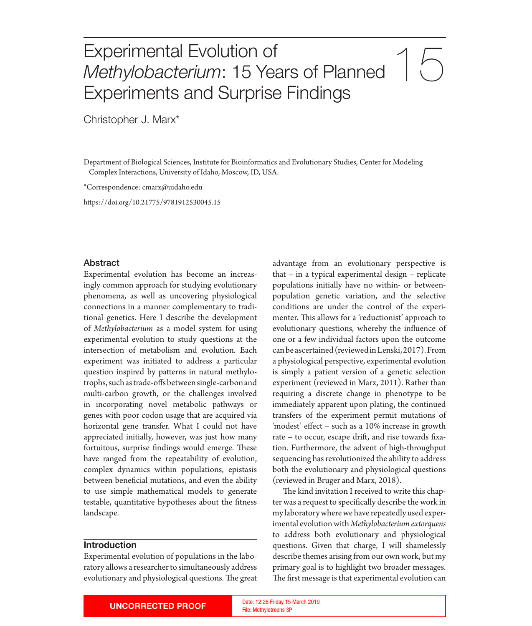# Experimental Evolution of<br>Methylobacterium: 15 Years of Planned  $\begin{pmatrix} 1 & 1 \\ 0 & 1 \end{pmatrix}$ *Methylobacterium*: 15 Years of Planned Experiments and Surprise Findings

Christopher J. Marx\*

Department of Biological Sciences, Institute for Bioinformatics and Evolutionary Studies, Center for Modeling Complex Interactions, University of Idaho, Moscow, ID, USA.

\*Correspondence: cmarx@uidaho.edu

htps://doi.org/10.21775/9781912530045.15

#### Abstract

Experimental evolution has become an increasingly common approach for studying evolutionary phenomena, as well as uncovering physiological connections in a manner complementary to traditional genetics. Here I describe the development of *Methylobacterium* as a model system for using experimental evolution to study questions at the intersection of metabolism and evolution. Each experiment was initiated to address a particular question inspired by paterns in natural methylotrophs, such as trade-ofs between single-carbon and multi-carbon growth, or the challenges involved in incorporating novel metabolic pathways or genes with poor codon usage that are acquired via horizontal gene transfer. What I could not have appreciated initially, however, was just how many fortuitous, surprise findings would emerge. These have ranged from the repeatability of evolution, complex dynamics within populations, epistasis between benefcial mutations, and even the ability to use simple mathematical models to generate testable, quantitative hypotheses about the ftness landscape.

#### **Introduction**

Experimental evolution of populations in the laboratory allows a researcher to simultaneously address evolutionary and physiological questions. The great

advantage from an evolutionary perspective is that – in a typical experimental design – replicate populations initially have no within- or betweenpopulation genetic variation, and the selective conditions are under the control of the experimenter. This allows for a 'reductionist' approach to evolutionary questions, whereby the infuence of one or a few individual factors upon the outcome can be ascertained (reviewed in Lenski, 2017). From a physiological perspective, experimental evolution is simply a patient version of a genetic selection experiment (reviewed in Marx, 2011). Rather than requiring a discrete change in phenotype to be immediately apparent upon plating, the continued transfers of the experiment permit mutations of 'modest' efect – such as a 10% increase in growth rate – to occur, escape drif, and rise towards fxation. Furthermore, the advent of high-throughput sequencing has revolutionized the ability to address both the evolutionary and physiological questions (reviewed in Bruger and Marx, 2018).

The kind invitation I received to write this chapter was a request to specifcally describe the work in my laboratory where we have repeatedly used experimental evolution with *Methylobacterium extorquens* to address both evolutionary and physiological questions. Given that charge, I will shamelessly describe themes arising from our own work, but my primary goal is to highlight two broader messages. The first message is that experimental evolution can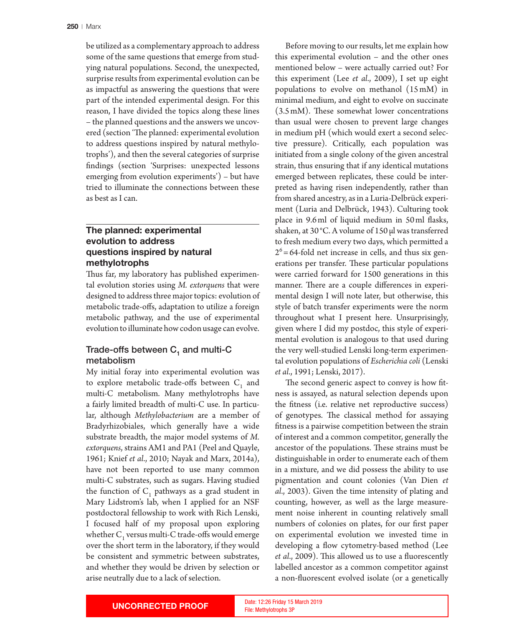be utilized as a complementary approach to address some of the same questions that emerge from studying natural populations. Second, the unexpected, surprise results from experimental evolution can be as impactful as answering the questions that were part of the intended experimental design. For this reason, I have divided the topics along these lines – the planned questions and the answers we uncovered (section 'The planned: experimental evolution to address questions inspired by natural methylotrophs'), and then the several categories of surprise fndings (section 'Surprises: unexpected lessons emerging from evolution experiments') – but have tried to illuminate the connections between these as best as I can.

# **The planned: experimental evolution to address questions inspired by natural methylotrophs**

Thus far, my laboratory has published experimental evolution stories using *M. extorquens* that were designed to address three major topics: evolution of metabolic trade-ofs, adaptation to utilize a foreign metabolic pathway, and the use of experimental evolution to illuminate how codon usage can evolve.

## Trade-offs between  $C_1$  and multi-C metabolism

My initial foray into experimental evolution was to explore metabolic trade-offs between  $C_1$  and multi-C metabolism. Many methylotrophs have a fairly limited breadth of multi-C use. In particular, although *Methylobacterium* are a member of Bradyrhizobiales, which generally have a wide substrate breadth, the major model systems of *M. extorquens*, strains AM1 and PA1 (Peel and Quayle, 1961; Knief *et al*., 2010; Nayak and Marx, 2014a), have not been reported to use many common multi-C substrates, such as sugars. Having studied the function of  $C_1$  pathways as a grad student in Mary Lidstrom's lab, when I applied for an NSF postdoctoral fellowship to work with Rich Lenski, I focused half of my proposal upon exploring whether  $C_1$  versus multi-C trade-offs would emerge over the short term in the laboratory, if they would be consistent and symmetric between substrates, and whether they would be driven by selection or arise neutrally due to a lack of selection.

Before moving to our results, let me explain how this experimental evolution – and the other ones mentioned below – were actually carried out? For this experiment (Lee *et al*., 2009), I set up eight populations to evolve on methanol (15mM) in minimal medium, and eight to evolve on succinate  $(3.5 \text{ mM})$ . These somewhat lower concentrations than usual were chosen to prevent large changes in medium pH (which would exert a second selective pressure). Critically, each population was initiated from a single colony of the given ancestral strain, thus ensuring that if any identical mutations emerged between replicates, these could be interpreted as having risen independently, rather than from shared ancestry, as in a Luria-Delbrück experiment (Luria and Delbrück, 1943). Culturing took place in 9.6ml of liquid medium in 50ml fasks, shaken, at 30 °C. A volume of 150 μl was transferred to fresh medium every two days, which permited a  $2<sup>6</sup>=64$ -fold net increase in cells, and thus six generations per transfer. These particular populations were carried forward for 1500 generations in this manner. There are a couple differences in experimental design I will note later, but otherwise, this style of batch transfer experiments were the norm throughout what I present here. Unsurprisingly, given where I did my postdoc, this style of experimental evolution is analogous to that used during the very well-studied Lenski long-term experimental evolution populations of *Escherichia coli* (Lenski *et al*., 1991; Lenski, 2017).

The second generic aspect to convey is how fitness is assayed, as natural selection depends upon the ftness (i.e. relative net reproductive success) of genotypes. The classical method for assaying ftness is a pairwise competition between the strain of interest and a common competitor, generally the ancestor of the populations. These strains must be distinguishable in order to enumerate each of them in a mixture, and we did possess the ability to use pigmentation and count colonies (Van Dien *et al*., 2003). Given the time intensity of plating and counting, however, as well as the large measurement noise inherent in counting relatively small numbers of colonies on plates, for our frst paper on experimental evolution we invested time in developing a flow cytometry-based method (Lee *et al.*, 2009). This allowed us to use a fluorescently labelled ancestor as a common competitor against a non-fuorescent evolved isolate (or a genetically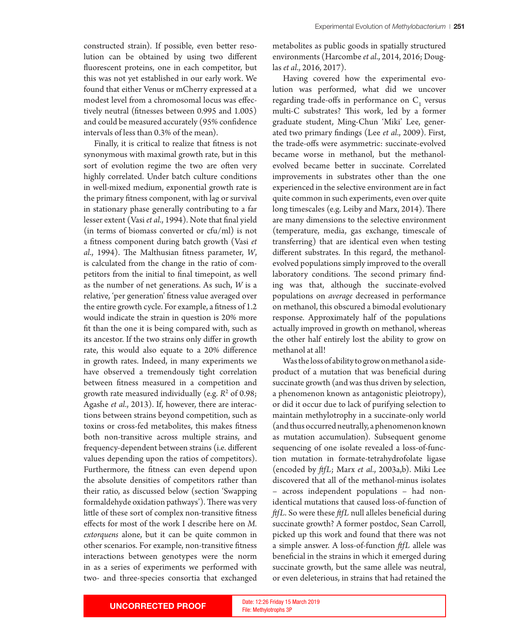constructed strain). If possible, even better resolution can be obtained by using two diferent fuorescent proteins, one in each competitor, but this was not yet established in our early work. We found that either Venus or mCherry expressed at a modest level from a chromosomal locus was efectively neutral (ftnesses between 0.995 and 1.005) and could be measured accurately (95% confdence intervals of less than 0.3% of the mean).

Finally, it is critical to realize that ftness is not synonymous with maximal growth rate, but in this sort of evolution regime the two are often very highly correlated. Under batch culture conditions in well-mixed medium, exponential growth rate is the primary ftness component, with lag or survival in stationary phase generally contributing to a far lesser extent (Vasi *et al*., 1994). Note that fnal yield (in terms of biomass converted or cfu/ml) is not a ftness component during batch growth (Vasi *et al.*, 1994). The Malthusian fitness parameter, *W*, is calculated from the change in the ratio of competitors from the initial to fnal timepoint, as well as the number of net generations. As such, *W* is a relative, 'per generation' ftness value averaged over the entire growth cycle. For example, a ftness of 1.2 would indicate the strain in question is 20% more ft than the one it is being compared with, such as its ancestor. If the two strains only difer in growth rate, this would also equate to a 20% diference in growth rates. Indeed, in many experiments we have observed a tremendously tight correlation between ftness measured in a competition and growth rate measured individually (e.g. *R*<sup>2</sup> of 0.98; Agashe *et al*., 2013). If, however, there are interactions between strains beyond competition, such as toxins or cross-fed metabolites, this makes ftness both non-transitive across multiple strains, and frequency-dependent between strains (i.e. diferent values depending upon the ratios of competitors). Furthermore, the ftness can even depend upon the absolute densities of competitors rather than their ratio, as discussed below (section 'Swapping formaldehyde oxidation pathways'). There was very litle of these sort of complex non-transitive ftness efects for most of the work I describe here on *M. extorquens* alone, but it can be quite common in other scenarios. For example, non-transitive ftness interactions between genotypes were the norm in as a series of experiments we performed with two- and three-species consortia that exchanged

metabolites as public goods in spatially structured environments (Harcombe *et al*., 2014, 2016; Douglas *et al*., 2016, 2017).

Having covered how the experimental evolution was performed, what did we uncover regarding trade-offs in performance on  $C_1$  versus multi-C substrates? This work, led by a former graduate student, Ming-Chun 'Miki' Lee, generated two primary fndings (Lee *et al*., 2009). First, the trade-ofs were asymmetric: succinate-evolved became worse in methanol, but the methanolevolved became beter in succinate. Correlated improvements in substrates other than the one experienced in the selective environment are in fact quite common in such experiments, even over quite long timescales (e.g. Leiby and Marx, 2014). There are many dimensions to the selective environment (temperature, media, gas exchange, timescale of transferring) that are identical even when testing diferent substrates. In this regard, the methanolevolved populations simply improved to the overall laboratory conditions. The second primary finding was that, although the succinate-evolved populations on *average* decreased in performance on methanol, this obscured a bimodal evolutionary response. Approximately half of the populations actually improved in growth on methanol, whereas the other half entirely lost the ability to grow on methanol at all!

Was the loss of ability to grow on methanol a sideproduct of a mutation that was benefcial during succinate growth (and was thus driven by selection, a phenomenon known as antagonistic pleiotropy), or did it occur due to lack of purifying selection to maintain methylotrophy in a succinate-only world (and thus occurred neutrally, a phenomenon known as mutation accumulation). Subsequent genome sequencing of one isolate revealed a loss-of-function mutation in formate-tetrahydrofolate ligase (encoded by *ffL*; Marx *et al*., 2003a,b). Miki Lee discovered that all of the methanol-minus isolates – across independent populations – had nonidentical mutations that caused loss-of-function of *ffL*. So were these *ffL* null alleles benefcial during succinate growth? A former postdoc, Sean Carroll, picked up this work and found that there was not a simple answer. A loss-of-function *ffL* allele was benefcial in the strains in which it emerged during succinate growth, but the same allele was neutral, or even deleterious, in strains that had retained the

File: Methylotrophs 3P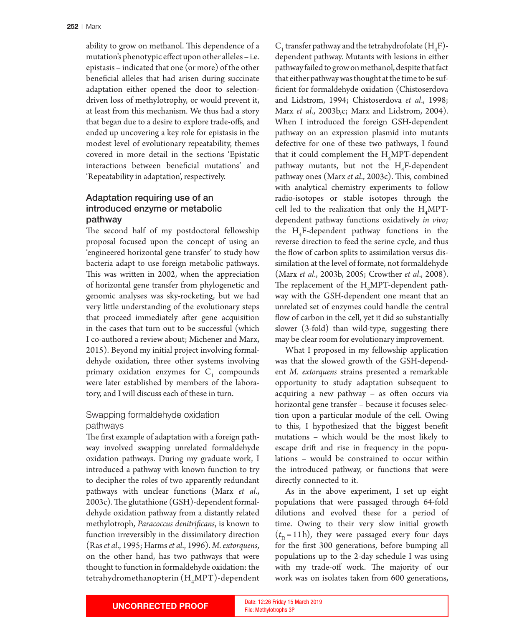ability to grow on methanol. This dependence of a mutation's phenotypic efect upon other alleles – i.e. epistasis – indicated that one (or more) of the other benefcial alleles that had arisen during succinate adaptation either opened the door to selectiondriven loss of methylotrophy, or would prevent it, at least from this mechanism. We thus had a story that began due to a desire to explore trade-ofs, and ended up uncovering a key role for epistasis in the modest level of evolutionary repeatability, themes covered in more detail in the sections 'Epistatic interactions between benefcial mutations' and 'Repeatability in adaptation', respectively.

# Adaptation requiring use of an introduced enzyme or metabolic pathway

The second half of my postdoctoral fellowship proposal focused upon the concept of using an 'engineered horizontal gene transfer' to study how bacteria adapt to use foreign metabolic pathways. This was written in 2002, when the appreciation of horizontal gene transfer from phylogenetic and genomic analyses was sky-rocketing, but we had very litle understanding of the evolutionary steps that proceed immediately after gene acquisition in the cases that turn out to be successful (which I co-authored a review about; Michener and Marx, 2015). Beyond my initial project involving formaldehyde oxidation, three other systems involving primary oxidation enzymes for  $C_1$  compounds were later established by members of the laboratory, and I will discuss each of these in turn.

## Swapping formaldehyde oxidation pathways

The first example of adaptation with a foreign pathway involved swapping unrelated formaldehyde oxidation pathways. During my graduate work, I introduced a pathway with known function to try to decipher the roles of two apparently redundant pathways with unclear functions (Marx *et al*.,  $2003c$ ). The glutathione (GSH)-dependent formaldehyde oxidation pathway from a distantly related methylotroph, *Paracoccus denitrifcans*, is known to function irreversibly in the dissimilatory direction (Ras *et al*., 1995; Harms *et al*., 1996). *M. extorquens*, on the other hand, has two pathways that were thought to function in formaldehyde oxidation: the tetrahydromethanopterin  $(H_{\mu}MPT)$ -dependent

 $\text{C}_1$  transfer pathway and the tetrahydrofolate (H<sub>4</sub>F)dependent pathway. Mutants with lesions in either pathway failed to grow on methanol, despite that fact that either pathway was thought at the time to be suffcient for formaldehyde oxidation (Chistoserdova and Lidstrom, 1994; Chistoserdova *et al*., 1998; Marx *et al*., 2003b,c; Marx and Lidstrom, 2004). When I introduced the foreign GSH-dependent pathway on an expression plasmid into mutants defective for one of these two pathways, I found that it could complement the  $H_4MPT$ -dependent pathway mutants, but not the  $H_4$ F-dependent pathway ones (Marx et al., 2003c). This, combined with analytical chemistry experiments to follow radio-isotopes or stable isotopes through the cell led to the realization that only the  $H_4MPT$ dependent pathway functions oxidatively *in vivo;* the  $H_4$ F-dependent pathway functions in the reverse direction to feed the serine cycle, and thus the flow of carbon splits to assimilation versus dissimilation at the level of formate, not formaldehyde (Marx *et al*., 2003b, 2005; Crowther *et al*., 2008). The replacement of the  $\rm H_4 MPT$ -dependent pathway with the GSH-dependent one meant that an unrelated set of enzymes could handle the central flow of carbon in the cell, yet it did so substantially slower (3-fold) than wild-type, suggesting there may be clear room for evolutionary improvement.

What I proposed in my fellowship application was that the slowed growth of the GSH-dependent *M. extorquens* strains presented a remarkable opportunity to study adaptation subsequent to  $acquiring$  a new pathway – as often occurs via horizontal gene transfer – because it focuses selection upon a particular module of the cell. Owing to this, I hypothesized that the biggest beneft mutations – which would be the most likely to escape drift and rise in frequency in the populations – would be constrained to occur within the introduced pathway, or functions that were directly connected to it.

As in the above experiment, I set up eight populations that were passaged through 64-fold dilutions and evolved these for a period of time. Owing to their very slow initial growth  $(t<sub>D</sub> = 11 h)$ , they were passaged every four days for the frst 300 generations, before bumping all populations up to the 2-day schedule I was using with my trade-off work. The majority of our work was on isolates taken from 600 generations,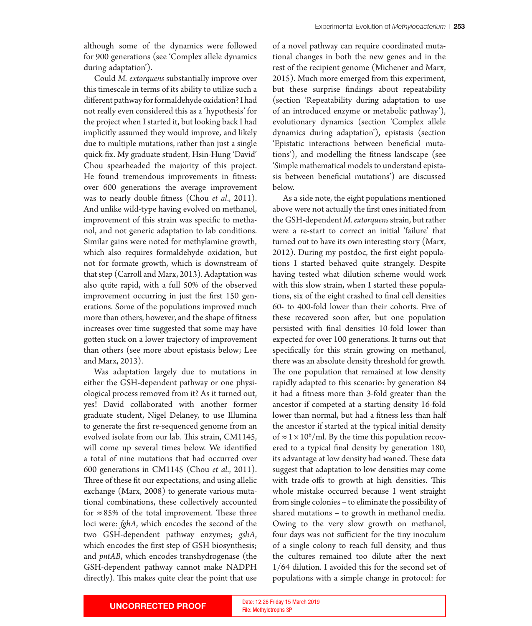Could *M. extorquens* substantially improve over this timescale in terms of its ability to utilize such a diferent pathway for formaldehyde oxidation? I had not really even considered this as a 'hypothesis' for the project when I started it, but looking back I had implicitly assumed they would improve, and likely due to multiple mutations, rather than just a single quick-fx. My graduate student, Hsin-Hung 'David' Chou spearheaded the majority of this project. He found tremendous improvements in ftness: over 600 generations the average improvement was to nearly double ftness (Chou *et al*., 2011). And unlike wild-type having evolved on methanol, improvement of this strain was specifc to methanol, and not generic adaptation to lab conditions. Similar gains were noted for methylamine growth, which also requires formaldehyde oxidation, but not for formate growth, which is downstream of that step (Carroll and Marx, 2013). Adaptation was also quite rapid, with a full 50% of the observed improvement occurring in just the frst 150 generations. Some of the populations improved much more than others, however, and the shape of ftness increases over time suggested that some may have goten stuck on a lower trajectory of improvement than others (see more about epistasis below; Lee and Marx, 2013).

Was adaptation largely due to mutations in either the GSH-dependent pathway or one physiological process removed from it? As it turned out, yes! David collaborated with another former graduate student, Nigel Delaney, to use Illumina to generate the frst re-sequenced genome from an evolved isolate from our lab. This strain, CM1145, will come up several times below. We identifed a total of nine mutations that had occurred over 600 generations in CM1145 (Chou *et al*., 2011). Three of these fit our expectations, and using allelic exchange (Marx, 2008) to generate various mutational combinations, these collectively accounted for  $\approx 85\%$  of the total improvement. These three loci were: *fghA*, which encodes the second of the two GSH-dependent pathway enzymes; *gshA*, which encodes the frst step of GSH biosynthesis; and *pntAB*, which encodes transhydrogenase (the GSH-dependent pathway cannot make NADPH directly). This makes quite clear the point that use

of a novel pathway can require coordinated mutational changes in both the new genes and in the rest of the recipient genome (Michener and Marx, 2015). Much more emerged from this experiment, but these surprise fndings about repeatability (section 'Repeatability during adaptation to use of an introduced enzyme or metabolic pathway'), evolutionary dynamics (section 'Complex allele dynamics during adaptation'), epistasis (section 'Epistatic interactions between benefcial mutations'), and modelling the ftness landscape (see 'Simple mathematical models to understand epistasis between benefcial mutations') are discussed below.

As a side note, the eight populations mentioned above were not actually the frst ones initiated from the GSH-dependent *M. extorquens* strain, but rather were a re-start to correct an initial 'failure' that turned out to have its own interesting story (Marx, 2012). During my postdoc, the frst eight populations I started behaved quite strangely. Despite having tested what dilution scheme would work with this slow strain, when I started these populations, six of the eight crashed to fnal cell densities 60- to 400-fold lower than their cohorts. Five of these recovered soon after, but one population persisted with fnal densities 10-fold lower than expected for over 100 generations. It turns out that specifcally for this strain growing on methanol, there was an absolute density threshold for growth. The one population that remained at low density rapidly adapted to this scenario: by generation 84 it had a ftness more than 3-fold greater than the ancestor if competed at a starting density 16-fold lower than normal, but had a ftness less than half the ancestor if started at the typical initial density of  $\approx$  1  $\times$  10<sup>6</sup>/ml. By the time this population recovered to a typical fnal density by generation 180, its advantage at low density had waned. These data suggest that adaptation to low densities may come with trade-offs to growth at high densities. This whole mistake occurred because I went straight from single colonies – to eliminate the possibility of shared mutations – to growth in methanol media. Owing to the very slow growth on methanol, four days was not sufficient for the tiny inoculum of a single colony to reach full density, and thus the cultures remained too dilute after the next 1/64 dilution. I avoided this for the second set of populations with a simple change in protocol: for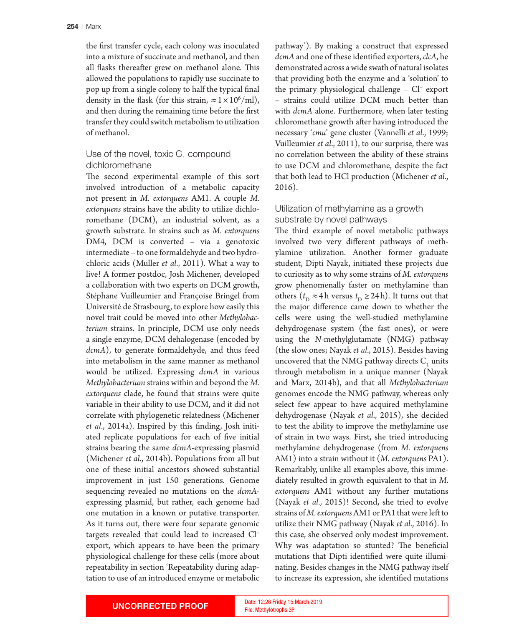the frst transfer cycle, each colony was inoculated into a mixture of succinate and methanol, and then all flasks thereafter grew on methanol alone. This allowed the populations to rapidly use succinate to pop up from a single colony to half the typical fnal density in the flask (for this strain,  $\approx 1 \times 10^6/\text{ml}$ ), and then during the remaining time before the frst transfer they could switch metabolism to utilization of methanol.

## Use of the novel, toxic  $C_1$  compound dichloromethane

The second experimental example of this sort involved introduction of a metabolic capacity not present in *M. extorquens* AM1. A couple *M. extorquens* strains have the ability to utilize dichloromethane (DCM), an industrial solvent, as a growth substrate. In strains such as *M. extorquens* DM4, DCM is converted – via a genotoxic intermediate – to one formaldehyde and two hydrochloric acids (Muller *et al*., 2011). What a way to live! A former postdoc, Josh Michener, developed a collaboration with two experts on DCM growth, Stéphane Vuilleumier and Françoise Bringel from Université de Strasbourg, to explore how easily this novel trait could be moved into other *Methylobacterium* strains. In principle, DCM use only needs a single enzyme, DCM dehalogenase (encoded by *dcmA*), to generate formaldehyde, and thus feed into metabolism in the same manner as methanol would be utilized. Expressing *dcmA* in various *Methylobacterium* strains within and beyond the *M. extorquens* clade, he found that strains were quite variable in their ability to use DCM, and it did not correlate with phylogenetic relatedness (Michener *et al*., 2014a). Inspired by this fnding, Josh initiated replicate populations for each of fve initial strains bearing the same *dcmA*-expressing plasmid (Michener *et al*., 2014b). Populations from all but one of these initial ancestors showed substantial improvement in just 150 generations. Genome sequencing revealed no mutations on the *dcmA*expressing plasmid, but rather, each genome had one mutation in a known or putative transporter. As it turns out, there were four separate genomic targets revealed that could lead to increased Cl– export, which appears to have been the primary physiological challenge for these cells (more about repeatability in section 'Repeatability during adaptation to use of an introduced enzyme or metabolic

pathway'). By making a construct that expressed *dcmA* and one of these identifed exporters, *clcA*, he demonstrated across a wide swath of natural isolates that providing both the enzyme and a 'solution' to the primary physiological challenge – Cl– export – strains could utilize DCM much beter than with *dcmA* alone. Furthermore, when later testing chloromethane growth after having introduced the necessary '*cmu*' gene cluster (Vannelli *et al*., 1999; Vuilleumier *et al*., 2011), to our surprise, there was no correlation between the ability of these strains to use DCM and chloromethane, despite the fact that both lead to HCl production (Michener *et al*., 2016).

## Utilization of methylamine as a growth substrate by novel pathways

The third example of novel metabolic pathways involved two very diferent pathways of methylamine utilization. Another former graduate student, Dipti Nayak, initiated these projects due to curiosity as to why some strains of *M. extorquens* grow phenomenally faster on methylamine than others ( $t_{\rm D} \approx 4$  h versus  $t_{\rm D} \ge 24$  h). It turns out that the major diference came down to whether the cells were using the well-studied methylamine dehydrogenase system (the fast ones), or were using the *N*-methylglutamate (NMG) pathway (the slow ones; Nayak *et al*., 2015). Besides having uncovered that the NMG pathway directs  $C_1$  units through metabolism in a unique manner (Nayak and Marx, 2014b), and that all *Methylobacterium* genomes encode the NMG pathway, whereas only select few appear to have acquired methylamine dehydrogenase (Nayak *et al*., 2015), she decided to test the ability to improve the methylamine use of strain in two ways. First, she tried introducing methylamine dehydrogenase (from *M. extorquens* AM1) into a strain without it (*M. extorquens* PA1). Remarkably, unlike all examples above, this immediately resulted in growth equivalent to that in *M. extorquens* AM1 without any further mutations (Nayak *et al*., 2015)! Second, she tried to evolve strains of *M. extorquens* AM1 or PA1 that were left to utilize their NMG pathway (Nayak *et al*., 2016). In this case, she observed only modest improvement. Why was adaptation so stunted? The beneficial mutations that Dipti identifed were quite illuminating. Besides changes in the NMG pathway itself to increase its expression, she identifed mutations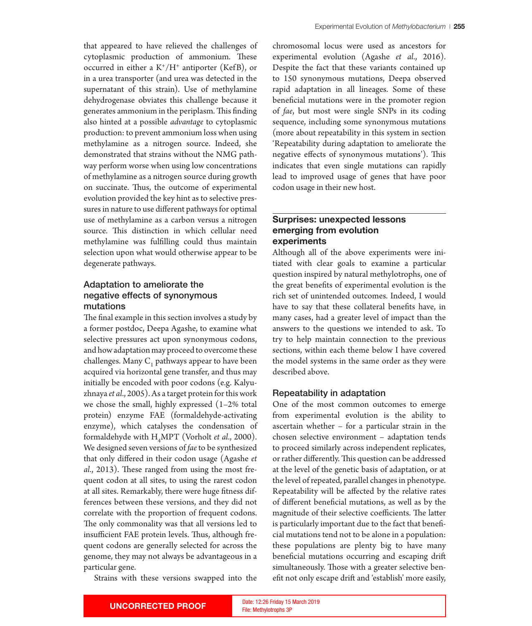that appeared to have relieved the challenges of cytoplasmic production of ammonium. These occurred in either a  $K^+/H^+$  antiporter (KefB), or in a urea transporter (and urea was detected in the supernatant of this strain). Use of methylamine dehydrogenase obviates this challenge because it generates ammonium in the periplasm. This finding also hinted at a possible *advantage* to cytoplasmic production: to prevent ammonium loss when using methylamine as a nitrogen source. Indeed, she demonstrated that strains without the NMG pathway perform worse when using low concentrations of methylamine as a nitrogen source during growth on succinate. Thus, the outcome of experimental evolution provided the key hint as to selective pressures in nature to use diferent pathways for optimal use of methylamine as a carbon versus a nitrogen source. This distinction in which cellular need methylamine was fulflling could thus maintain selection upon what would otherwise appear to be degenerate pathways.

## Adaptation to ameliorate the negative effects of synonymous mutations

The final example in this section involves a study by a former postdoc, Deepa Agashe, to examine what selective pressures act upon synonymous codons, and how adaptation may proceed to overcome these challenges. Many  $\mathsf{C}_1$  pathways appear to have been acquired via horizontal gene transfer, and thus may initially be encoded with poor codons (e.g. Kalyuzhnaya *et al*., 2005). As a target protein for this work we chose the small, highly expressed (1–2% total protein) enzyme FAE (formaldehyde-activating enzyme), which catalyses the condensation of formaldehyde with H4 MPT (Vorholt *et al*., 2000). We designed seven versions of *fae* to be synthesized that only difered in their codon usage (Agashe *et al.*, 2013). These ranged from using the most frequent codon at all sites, to using the rarest codon at all sites. Remarkably, there were huge ftness differences between these versions, and they did not correlate with the proportion of frequent codons. The only commonality was that all versions led to insufficient FAE protein levels. Thus, although frequent codons are generally selected for across the genome, they may not always be advantageous in a particular gene.

Strains with these versions swapped into the

chromosomal locus were used as ancestors for experimental evolution (Agashe *et al*., 2016). Despite the fact that these variants contained up to 150 synonymous mutations, Deepa observed rapid adaptation in all lineages. Some of these benefcial mutations were in the promoter region of *fae*, but most were single SNPs in its coding sequence, including some synonymous mutations (more about repeatability in this system in section 'Repeatability during adaptation to ameliorate the negative effects of synonymous mutations'). This indicates that even single mutations can rapidly lead to improved usage of genes that have poor codon usage in their new host.

## **Surprises: unexpected lessons emerging from evolution experiments**

Although all of the above experiments were initiated with clear goals to examine a particular question inspired by natural methylotrophs, one of the great benefts of experimental evolution is the rich set of unintended outcomes. Indeed, I would have to say that these collateral benefts have, in many cases, had a greater level of impact than the answers to the questions we intended to ask. To try to help maintain connection to the previous sections, within each theme below I have covered the model systems in the same order as they were described above.

#### Repeatability in adaptation

One of the most common outcomes to emerge from experimental evolution is the ability to ascertain whether – for a particular strain in the chosen selective environment – adaptation tends to proceed similarly across independent replicates, or rather differently. This question can be addressed at the level of the genetic basis of adaptation, or at the level of repeated, parallel changes in phenotype. Repeatability will be afected by the relative rates of diferent benefcial mutations, as well as by the magnitude of their selective coefficients. The latter is particularly important due to the fact that benefcial mutations tend not to be alone in a population: these populations are plenty big to have many benefcial mutations occurring and escaping drif simultaneously. Those with a greater selective benefit not only escape drift and 'establish' more easily,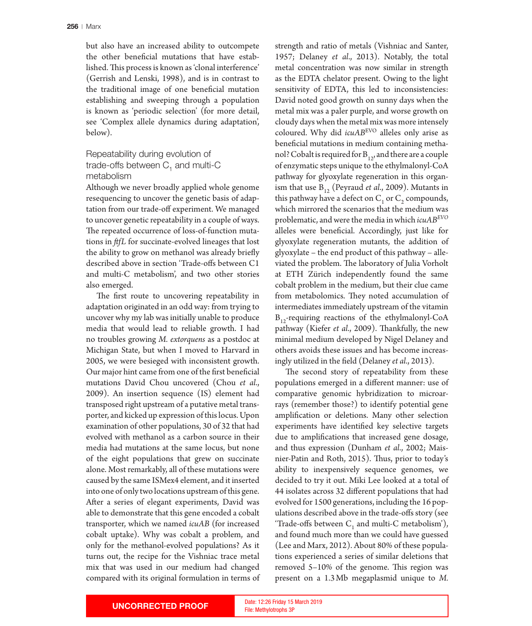but also have an increased ability to outcompete the other benefcial mutations that have established. This process is known as 'clonal interference' (Gerrish and Lenski, 1998), and is in contrast to the traditional image of one benefcial mutation establishing and sweeping through a population is known as 'periodic selection' (for more detail, see 'Complex allele dynamics during adaptation', below).

## Repeatability during evolution of trade-offs between  $C_1$  and multi-C metabolism

Although we never broadly applied whole genome resequencing to uncover the genetic basis of adaptation from our trade-of experiment. We managed to uncover genetic repeatability in a couple of ways. The repeated occurrence of loss-of-function mutations in *ffL* for succinate-evolved lineages that lost the ability to grow on methanol was already briefy described above in section 'Trade-ofs between C1 and multi-C metabolism', and two other stories also emerged.

The first route to uncovering repeatability in adaptation originated in an odd way: from trying to uncover why my lab was initially unable to produce media that would lead to reliable growth. I had no troubles growing *M. extorquens* as a postdoc at Michigan State, but when I moved to Harvard in 2005, we were besieged with inconsistent growth. Our major hint came from one of the frst benefcial mutations David Chou uncovered (Chou *et al*., 2009). An insertion sequence (IS) element had transposed right upstream of a putative metal transporter, and kicked up expression of this locus. Upon examination of other populations, 30 of 32 that had evolved with methanol as a carbon source in their media had mutations at the same locus, but none of the eight populations that grew on succinate alone. Most remarkably, all of these mutations were caused by the same ISMex4 element, and it inserted into one of only two locations upstream of this gene. Afer a series of elegant experiments, David was able to demonstrate that this gene encoded a cobalt transporter, which we named *icuAB* (for increased cobalt uptake). Why was cobalt a problem, and only for the methanol-evolved populations? As it turns out, the recipe for the Vishniac trace metal mix that was used in our medium had changed compared with its original formulation in terms of

strength and ratio of metals (Vishniac and Santer, 1957; Delaney *et al*., 2013). Notably, the total metal concentration was now similar in strength as the EDTA chelator present. Owing to the light sensitivity of EDTA, this led to inconsistencies: David noted good growth on sunny days when the metal mix was a paler purple, and worse growth on cloudy days when the metal mix was more intensely coloured. Why did *icuAB*EVO alleles only arise as benefcial mutations in medium containing methanol? Cobalt is required for  $B_{12}$ , and there are a couple of enzymatic steps unique to the ethylmalonyl-CoA pathway for glyoxylate regeneration in this organism that use  $B_{12}$  (Peyraud *et al.*, 2009). Mutants in this pathway have a defect on  $C_1$  or  $C_2$  compounds, which mirrored the scenarios that the medium was problematic, and were the media in which *icuABEVO* alleles were benefcial. Accordingly, just like for glyoxylate regeneration mutants, the addition of glyoxylate – the end product of this pathway – alleviated the problem. The laboratory of Julia Vorholt at ETH Zürich independently found the same cobalt problem in the medium, but their clue came from metabolomics. They noted accumulation of intermediates immediately upstream of the vitamin  $B_{12}$ -requiring reactions of the ethylmalonyl-CoA pathway (Kiefer et al., 2009). Thankfully, the new minimal medium developed by Nigel Delaney and others avoids these issues and has become increasingly utilized in the feld (Delaney *et al*., 2013).

The second story of repeatability from these populations emerged in a diferent manner: use of comparative genomic hybridization to microarrays (remember those?) to identify potential gene amplifcation or deletions. Many other selection experiments have identifed key selective targets due to amplifcations that increased gene dosage, and thus expression (Dunham *et al*., 2002; Maisnier-Patin and Roth, 2015). Thus, prior to today's ability to inexpensively sequence genomes, we decided to try it out. Miki Lee looked at a total of 44 isolates across 32 diferent populations that had evolved for 1500 generations, including the 16 populations described above in the trade-ofs story (see 'Trade-offs between  $C_1$  and multi-C metabolism'), and found much more than we could have guessed (Lee and Marx, 2012). About 80% of these populations experienced a series of similar deletions that removed 5–10% of the genome. This region was present on a 1.3Mb megaplasmid unique to *M.* 

File: Methylotrophs 3P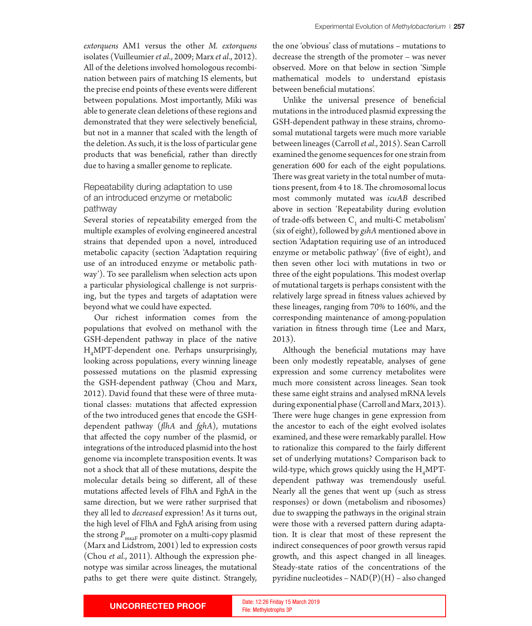demonstrated that they were selectively benefcial, but not in a manner that scaled with the length of the deletion. As such, it is the loss of particular gene products that was benefcial, rather than directly due to having a smaller genome to replicate.

# Repeatability during adaptation to use of an introduced enzyme or metabolic pathway

Several stories of repeatability emerged from the multiple examples of evolving engineered ancestral strains that depended upon a novel, introduced metabolic capacity (section 'Adaptation requiring use of an introduced enzyme or metabolic pathway'). To see parallelism when selection acts upon a particular physiological challenge is not surprising, but the types and targets of adaptation were beyond what we could have expected.

Our richest information comes from the populations that evolved on methanol with the GSH-dependent pathway in place of the native H4 MPT-dependent one. Perhaps unsurprisingly, looking across populations, every winning lineage possessed mutations on the plasmid expressing the GSH-dependent pathway (Chou and Marx, 2012). David found that these were of three mutational classes: mutations that afected expression of the two introduced genes that encode the GSHdependent pathway (*fhA* and *fghA*), mutations that afected the copy number of the plasmid, or integrations of the introduced plasmid into the host genome via incomplete transposition events. It was not a shock that all of these mutations, despite the molecular details being so diferent, all of these mutations afected levels of FlhA and FghA in the same direction, but we were rather surprised that they all led to *decreased* expression! As it turns out, the high level of FlhA and FghA arising from using the strong  $P_{\text{maxF}}$  promoter on a multi-copy plasmid (Marx and Lidstrom, 2001) led to expression costs (Chou *et al*., 2011). Although the expression phenotype was similar across lineages, the mutational paths to get there were quite distinct. Strangely,

the one 'obvious' class of mutations – mutations to decrease the strength of the promoter – was never observed. More on that below in section 'Simple mathematical models to understand epistasis between benefcial mutations'.

Unlike the universal presence of benefcial mutations in the introduced plasmid expressing the GSH-dependent pathway in these strains, chromosomal mutational targets were much more variable between lineages (Carroll *et al*., 2015). Sean Carroll examined the genome sequences for one strain from generation 600 for each of the eight populations. There was great variety in the total number of mutations present, from 4 to 18. The chromosomal locus most commonly mutated was *icuAB* described above in section 'Repeatability during evolution of trade-offs between  $C_1$  and multi-C metabolism' (six of eight), followed by *gshA* mentioned above in section 'Adaptation requiring use of an introduced enzyme or metabolic pathway' (fve of eight), and then seven other loci with mutations in two or three of the eight populations. This modest overlap of mutational targets is perhaps consistent with the relatively large spread in ftness values achieved by these lineages, ranging from 70% to 160%, and the corresponding maintenance of among-population variation in ftness through time (Lee and Marx, 2013).

Although the benefcial mutations may have been only modestly repeatable, analyses of gene expression and some currency metabolites were much more consistent across lineages. Sean took these same eight strains and analysed mRNA levels during exponential phase (Carroll and Marx, 2013). There were huge changes in gene expression from the ancestor to each of the eight evolved isolates examined, and these were remarkably parallel. How to rationalize this compared to the fairly diferent set of underlying mutations? Comparison back to wild-type, which grows quickly using the  $\rm H_4 MPT$ dependent pathway was tremendously useful. Nearly all the genes that went up (such as stress responses) or down (metabolism and ribosomes) due to swapping the pathways in the original strain were those with a reversed pattern during adaptation. It is clear that most of these represent the indirect consequences of poor growth versus rapid growth, and this aspect changed in all lineages. Steady-state ratios of the concentrations of the pyridine nucleotides – NAD(P)(H) – also changed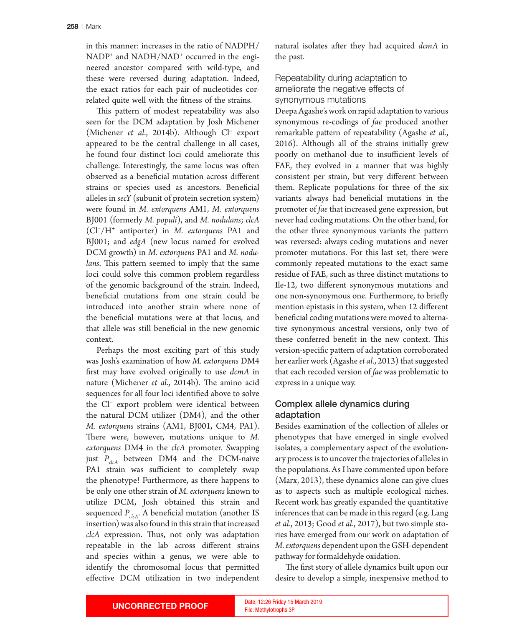in this manner: increases in the ratio of NADPH/ NADP+ and NADH/NAD+ occurred in the engineered ancestor compared with wild-type, and these were reversed during adaptation. Indeed, the exact ratios for each pair of nucleotides correlated quite well with the ftness of the strains.

This pattern of modest repeatability was also seen for the DCM adaptation by Josh Michener (Michener *et al*., 2014b). Although Cl– export appeared to be the central challenge in all cases, he found four distinct loci could ameliorate this challenge. Interestingly, the same locus was ofen observed as a benefcial mutation across diferent strains or species used as ancestors. Benefcial alleles in *secY* (subunit of protein secretion system) were found in *M. extorquens* AM1, *M. extorquens* BJ001 (formerly *M. populi*), and *M. nodulans*; *clcA* (Cl–/H+ antiporter) in *M. extorquens* PA1 and BJ001; and *edgA* (new locus named for evolved DCM growth) in *M. extorquens* PA1 and *M. nodulans*. This pattern seemed to imply that the same loci could solve this common problem regardless of the genomic background of the strain. Indeed, benefcial mutations from one strain could be introduced into another strain where none of the benefcial mutations were at that locus, and that allele was still benefcial in the new genomic context.

Perhaps the most exciting part of this study was Josh's examination of how *M. extorquens* DM4 frst may have evolved originally to use *dcmA* in nature (Michener *et al.*, 2014b). The amino acid sequences for all four loci identifed above to solve the Cl– export problem were identical between the natural DCM utilizer (DM4), and the other *M. extorquens* strains (AM1, BJ001, CM4, PA1). There were, however, mutations unique to M. *extorquens* DM4 in the *clcA* promoter. Swapping just  $P_{dcA}$  between DM4 and the DCM-naive PA1 strain was sufficient to completely swap the phenotype! Furthermore, as there happens to be only one other strain of *M. extorquens* known to utilize DCM, Josh obtained this strain and sequenced  $P_{\text{clcA}}$ . A beneficial mutation (another IS insertion) was also found in this strain that increased *clcA* expression. Thus, not only was adaptation repeatable in the lab across diferent strains and species within a genus, we were able to identify the chromosomal locus that permited efective DCM utilization in two independent

natural isolates afer they had acquired *dcmA* in the past.

# Repeatability during adaptation to ameliorate the negative efects of synonymous mutations

Deepa Agashe's work on rapid adaptation to various synonymous re-codings of *fae* produced another remarkable patern of repeatability (Agashe *et al*., 2016). Although all of the strains initially grew poorly on methanol due to insufficient levels of FAE, they evolved in a manner that was highly consistent per strain, but very diferent between them. Replicate populations for three of the six variants always had benefcial mutations in the promoter of *fae* that increased gene expression, but never had coding mutations. On the other hand, for the other three synonymous variants the patern was reversed: always coding mutations and never promoter mutations. For this last set, there were commonly repeated mutations to the exact same residue of FAE, such as three distinct mutations to Ile-12, two diferent synonymous mutations and one non-synonymous one. Furthermore, to briefy mention epistasis in this system, when 12 diferent benefcial coding mutations were moved to alternative synonymous ancestral versions, only two of these conferred benefit in the new context. This version-specifc patern of adaptation corroborated her earlier work (Agashe *et al*., 2013) that suggested that each recoded version of *fae* was problematic to express in a unique way.

# Complex allele dynamics during adaptation

Besides examination of the collection of alleles or phenotypes that have emerged in single evolved isolates, a complementary aspect of the evolutionary process is to uncover the trajectories of alleles in the populations. As I have commented upon before (Marx, 2013), these dynamics alone can give clues as to aspects such as multiple ecological niches. Recent work has greatly expanded the quantitative inferences that can be made in this regard (e.g. Lang *et al*., 2013; Good *et al*., 2017), but two simple stories have emerged from our work on adaptation of *M. extorquens* dependent upon the GSH-dependent pathway for formaldehyde oxidation.

The first story of allele dynamics built upon our desire to develop a simple, inexpensive method to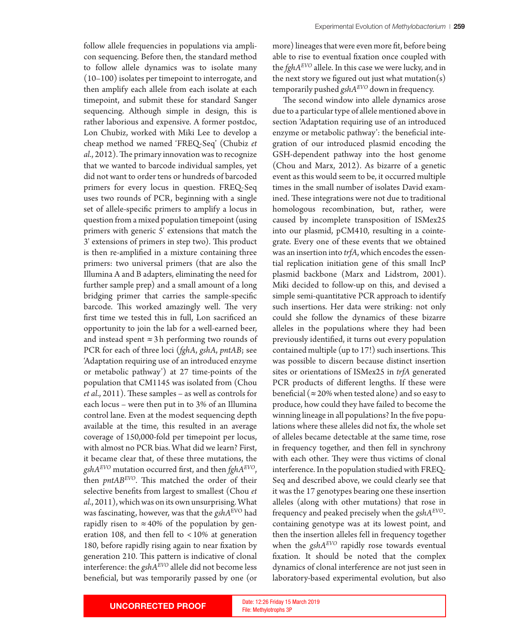follow allele frequencies in populations via amplicon sequencing. Before then, the standard method to follow allele dynamics was to isolate many (10–100) isolates per timepoint to interrogate, and then amplify each allele from each isolate at each timepoint, and submit these for standard Sanger sequencing. Although simple in design, this is rather laborious and expensive. A former postdoc, Lon Chubiz, worked with Miki Lee to develop a cheap method we named 'FREQ-Seq' (Chubiz *et al.*, 2012). The primary innovation was to recognize that we wanted to barcode individual samples, yet did not want to order tens or hundreds of barcoded primers for every locus in question. FREQ-Seq uses two rounds of PCR, beginning with a single set of allele-specifc primers to amplify a locus in question from a mixed population timepoint (using primers with generic 5' extensions that match the 3' extensions of primers in step two). This product is then re-amplifed in a mixture containing three primers: two universal primers (that are also the Illumina A and B adapters, eliminating the need for further sample prep) and a small amount of a long bridging primer that carries the sample-specifc barcode. This worked amazingly well. The very frst time we tested this in full, Lon sacrifced an opportunity to join the lab for a well-earned beer, and instead spent  $\approx$  3h performing two rounds of PCR for each of three loci (*fghA*, *gshA*, *pntAB*; see 'Adaptation requiring use of an introduced enzyme or metabolic pathway') at 27 time-points of the population that CM1145 was isolated from (Chou *et al.*, 2011). These samples – as well as controls for each locus – were then put in to 3% of an Illumina control lane. Even at the modest sequencing depth available at the time, this resulted in an average coverage of 150,000-fold per timepoint per locus, with almost no PCR bias. What did we learn? First, it became clear that, of these three mutations, the *gshAEVO* mutation occurred frst, and then *fghAEVO*, then *pntAB<sup>EVO</sup>*. This matched the order of their selective benefts from largest to smallest (Chou *et al*., 2011), which was on its own unsurprising. What was fascinating, however, was that the *gshA*EVO had rapidly risen to  $\approx 40\%$  of the population by generation 108, and then fell to  $<$  10% at generation 180, before rapidly rising again to near fxation by generation 210. This pattern is indicative of clonal interference: the *gshAEVO* allele did not become less benefcial, but was temporarily passed by one (or

more) lineages that were even more ft, before being able to rise to eventual fxation once coupled with the *fghAEVO* allele. In this case we were lucky, and in the next story we figured out just what mutation(s) temporarily pushed *gshAEVO* down in frequency.

The second window into allele dynamics arose due to a particular type of allele mentioned above in section 'Adaptation requiring use of an introduced enzyme or metabolic pathway': the benefcial integration of our introduced plasmid encoding the GSH-dependent pathway into the host genome (Chou and Marx, 2012). As bizarre of a genetic event as this would seem to be, it occurred multiple times in the small number of isolates David examined. These integrations were not due to traditional homologous recombination, but, rather, were caused by incomplete transposition of ISMex25 into our plasmid, pCM410, resulting in a cointegrate. Every one of these events that we obtained was an insertion into *trfA*, which encodes the essential replication initiation gene of this small IncP plasmid backbone (Marx and Lidstrom, 2001). Miki decided to follow-up on this, and devised a simple semi-quantitative PCR approach to identify such insertions. Her data were striking: not only could she follow the dynamics of these bizarre alleles in the populations where they had been previously identifed, it turns out every population contained multiple (up to  $17!$ ) such insertions. This was possible to discern because distinct insertion sites or orientations of ISMex25 in *trfA* generated PCR products of diferent lengths. If these were beneficial ( $\approx$  20% when tested alone) and so easy to produce, how could they have failed to become the winning lineage in all populations? In the fve populations where these alleles did not fx, the whole set of alleles became detectable at the same time, rose in frequency together, and then fell in synchrony with each other. They were thus victims of clonal interference. In the population studied with FREQ-Seq and described above, we could clearly see that it was the 17 genotypes bearing one these insertion alleles (along with other mutations) that rose in frequency and peaked precisely when the *gshAEVO*containing genotype was at its lowest point, and then the insertion alleles fell in frequency together when the *gshAEVO* rapidly rose towards eventual fxation. It should be noted that the complex dynamics of clonal interference are not just seen in laboratory-based experimental evolution, but also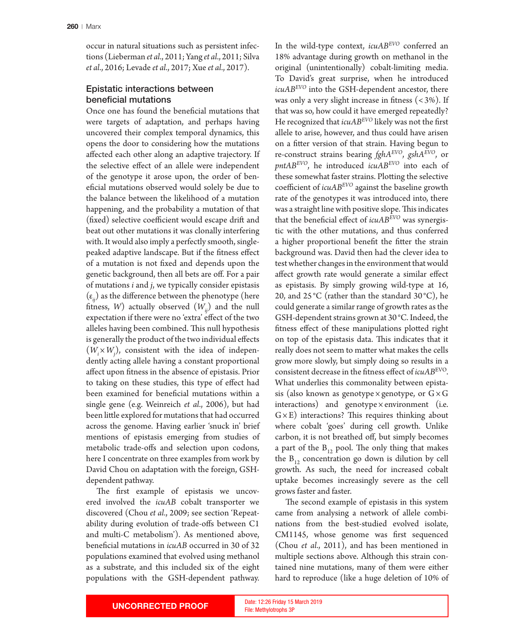occur in natural situations such as persistent infections (Lieberman *et al*., 2011; Yang *et al*., 2011; Silva *et al*., 2016; Levade *et al*., 2017; Xue *et al*., 2017).

## Epistatic interactions between beneficial mutations

Once one has found the benefcial mutations that were targets of adaptation, and perhaps having uncovered their complex temporal dynamics, this opens the door to considering how the mutations afected each other along an adaptive trajectory. If the selective efect of an allele were independent of the genotype it arose upon, the order of benefcial mutations observed would solely be due to the balance between the likelihood of a mutation happening, and the probability a mutation of that (fixed) selective coefficient would escape drift and beat out other mutations it was clonally interfering with. It would also imply a perfectly smooth, singlepeaked adaptive landscape. But if the ftness efect of a mutation is not fxed and depends upon the genetic background, then all bets are of. For a pair of mutations *i* and *j*, we typically consider epistasis  $(\varepsilon_i)$  as the difference between the phenotype (here fitness, *W*) actually observed  $(W_{ii})$  and the null expectation if there were no 'extra' efect of the two alleles having been combined. This null hypothesis is generally the product of the two individual efects  $(W_i\times W_j)$ , consistent with the idea of independently acting allele having a constant proportional afect upon ftness in the absence of epistasis. Prior to taking on these studies, this type of efect had been examined for benefcial mutations within a single gene (e.g. Weinreich *et al*., 2006), but had been litle explored for mutations that had occurred across the genome. Having earlier 'snuck in' brief mentions of epistasis emerging from studies of metabolic trade-ofs and selection upon codons, here I concentrate on three examples from work by David Chou on adaptation with the foreign, GSHdependent pathway.

The first example of epistasis we uncovered involved the *icuAB* cobalt transporter we discovered (Chou *et al*., 2009; see section 'Repeatability during evolution of trade-ofs between C1 and multi-C metabolism'). As mentioned above, benefcial mutations in *icuAB* occurred in 30 of 32 populations examined that evolved using methanol as a substrate, and this included six of the eight populations with the GSH-dependent pathway.

In the wild-type context, *icuABEVO* conferred an 18% advantage during growth on methanol in the original (unintentionally) cobalt-limiting media. To David's great surprise, when he introduced *icuABEVO* into the GSH-dependent ancestor, there was only a very slight increase in fitness  $( $3\%$ ). If$ that was so, how could it have emerged repeatedly? He recognized that *icuABEVO* likely was not the frst allele to arise, however, and thus could have arisen on a fitter version of that strain. Having begun to re-construct strains bearing *fghAEVO*, *gshAEVO*, or *pntABEVO*, he introduced *icuABEVO* into each of these somewhat faster strains. Ploting the selective coefficient of *icuAB<sup>EVO</sup>* against the baseline growth rate of the genotypes it was introduced into, there was a straight line with positive slope. This indicates that the benefcial efect of *icuABEVO* was synergistic with the other mutations, and thus conferred a higher proportional benefit the fitter the strain background was. David then had the clever idea to test whether changes in the environment that would afect growth rate would generate a similar efect as epistasis. By simply growing wild-type at 16, 20, and  $25^{\circ}$ C (rather than the standard  $30^{\circ}$ C), he could generate a similar range of growth rates as the GSH-dependent strains grown at 30 °C. Indeed, the ftness efect of these manipulations ploted right on top of the epistasis data. This indicates that it really does not seem to matter what makes the cells grow more slowly, but simply doing so results in a consistent decrease in the ftness efect of *icuAB*EVO. What underlies this commonality between epistasis (also known as genotype×genotype, or  $G \times G$ interactions) and genotype × environment (i.e.  $G \times E$ ) interactions? This requires thinking about where cobalt 'goes' during cell growth. Unlike carbon, it is not breathed of, but simply becomes a part of the  $B_{12}$  pool. The only thing that makes the  $B_{12}$  concentration go down is dilution by cell growth. As such, the need for increased cobalt uptake becomes increasingly severe as the cell grows faster and faster.

The second example of epistasis in this system came from analysing a network of allele combinations from the best-studied evolved isolate, CM1145, whose genome was first sequenced (Chou *et al*., 2011), and has been mentioned in multiple sections above. Although this strain contained nine mutations, many of them were either hard to reproduce (like a huge deletion of 10% of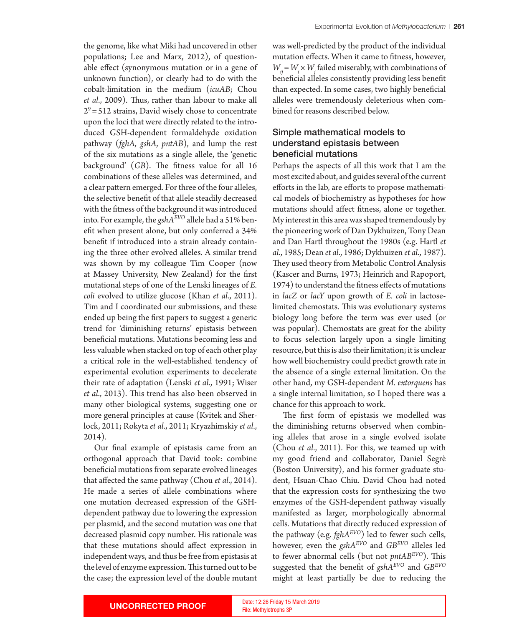the genome, like what Miki had uncovered in other populations; Lee and Marx, 2012), of questionable efect (synonymous mutation or in a gene of unknown function), or clearly had to do with the cobalt-limitation in the medium (*icuAB*; Chou et al., 2009). Thus, rather than labour to make all  $2^9$  = 512 strains, David wisely chose to concentrate upon the loci that were directly related to the introduced GSH-dependent formaldehyde oxidation pathway (*fghA*, *gshA*, *pntAB*), and lump the rest of the six mutations as a single allele, the 'genetic background' (GB). The fitness value for all 16 combinations of these alleles was determined, and a clear patern emerged. For three of the four alleles, the selective beneft of that allele steadily decreased with the ftness of the background it was introduced into. For example, the *gshAEVO* allele had a 51% beneft when present alone, but only conferred a 34% beneft if introduced into a strain already containing the three other evolved alleles. A similar trend was shown by my colleague Tim Cooper (now at Massey University, New Zealand) for the frst mutational steps of one of the Lenski lineages of *E. coli* evolved to utilize glucose (Khan *et al*., 2011). Tim and I coordinated our submissions, and these ended up being the frst papers to suggest a generic trend for 'diminishing returns' epistasis between benefcial mutations. Mutations becoming less and less valuable when stacked on top of each other play a critical role in the well-established tendency of experimental evolution experiments to decelerate their rate of adaptation (Lenski *et al*., 1991; Wiser *et al.*, 2013). This trend has also been observed in many other biological systems, suggesting one or more general principles at cause (Kvitek and Sherlock, 2011; Rokyta *et al*., 2011; Kryazhimskiy *et al*., 2014).

Our fnal example of epistasis came from an orthogonal approach that David took: combine benefcial mutations from separate evolved lineages that afected the same pathway (Chou *et al*., 2014). He made a series of allele combinations where one mutation decreased expression of the GSHdependent pathway due to lowering the expression per plasmid, and the second mutation was one that decreased plasmid copy number. His rationale was that these mutations should afect expression in independent ways, and thus be free from epistasis at the level of enzyme expression. This turned out to be the case; the expression level of the double mutant

was well-predicted by the product of the individual mutation efects. When it came to ftness, however,  $W_{ij}$  =  $W_i \times W_j$  failed miserably, with combinations of benefcial alleles consistently providing less beneft than expected. In some cases, two highly benefcial alleles were tremendously deleterious when combined for reasons described below.

# Simple mathematical models to understand epistasis between beneficial mutations

Perhaps the aspects of all this work that I am the most excited about, and guides several of the current eforts in the lab, are eforts to propose mathematical models of biochemistry as hypotheses for how mutations should afect ftness, alone or together. My interest in this area was shaped tremendously by the pioneering work of Dan Dykhuizen, Tony Dean and Dan Hartl throughout the 1980s (e.g. Hartl *et al*., 1985; Dean *et al*., 1986; Dykhuizen *et al*., 1987). They used theory from Metabolic Control Analysis (Kascer and Burns, 1973; Heinrich and Rapoport, 1974) to understand the ftness efects of mutations in *lacZ* or *lacY* upon growth of *E. coli* in lactoselimited chemostats. This was evolutionary systems biology long before the term was ever used (or was popular). Chemostats are great for the ability to focus selection largely upon a single limiting resource, but this is also their limitation; it is unclear how well biochemistry could predict growth rate in the absence of a single external limitation. On the other hand, my GSH-dependent *M. extorquens* has a single internal limitation, so I hoped there was a chance for this approach to work.

The first form of epistasis we modelled was the diminishing returns observed when combining alleles that arose in a single evolved isolate (Chou *et al*., 2011). For this, we teamed up with my good friend and collaborator, Daniel Segrè (Boston University), and his former graduate student, Hsuan-Chao Chiu. David Chou had noted that the expression costs for synthesizing the two enzymes of the GSH-dependent pathway visually manifested as larger, morphologically abnormal cells. Mutations that directly reduced expression of the pathway (e.g. *fghAEVO*) led to fewer such cells, however, even the *gshAEVO* and *GBEVO* alleles led to fewer abnormal cells (but not *pntAB<sup>EVO</sup>*). This suggested that the beneft of *gshAEVO* and *GBEVO* might at least partially be due to reducing the

File: Methylotrophs 3P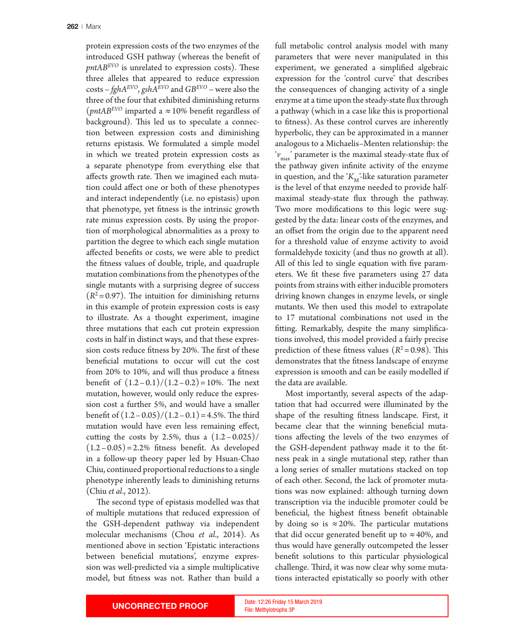protein expression costs of the two enzymes of the introduced GSH pathway (whereas the beneft of  $pntAB<sup>EVO</sup>$  is unrelated to expression costs). These three alleles that appeared to reduce expression costs – *fghAEVO*, *gshAEVO* and *GBEVO* – were also the three of the four that exhibited diminishing returns ( $pntAB<sup>EVO</sup>$  imparted a  $\approx$  10% benefit regardless of background). This led us to speculate a connection between expression costs and diminishing returns epistasis. We formulated a simple model in which we treated protein expression costs as a separate phenotype from everything else that affects growth rate. Then we imagined each mutation could afect one or both of these phenotypes and interact independently (i.e. no epistasis) upon that phenotype, yet ftness is the intrinsic growth rate minus expression costs. By using the proportion of morphological abnormalities as a proxy to partition the degree to which each single mutation afected benefts or costs, we were able to predict the ftness values of double, triple, and quadruple mutation combinations from the phenotypes of the single mutants with a surprising degree of success  $(R<sup>2</sup>=0.97)$ . The intuition for diminishing returns in this example of protein expression costs is easy to illustrate. As a thought experiment, imagine three mutations that each cut protein expression costs in half in distinct ways, and that these expression costs reduce fitness by 20%. The first of these benefcial mutations to occur will cut the cost from 20% to 10%, and will thus produce a ftness benefit of  $(1.2-0.1)/(1.2-0.2)=10%$ . The next mutation, however, would only reduce the expression cost a further 5%, and would have a smaller benefit of  $(1.2 - 0.05)/(1.2 - 0.1) = 4.5\%$ . The third mutation would have even less remaining efect, cutting the costs by 2.5%, thus a  $(1.2 - 0.025)$ /  $(1.2-0.05)=2.2%$  fitness benefit. As developed in a follow-up theory paper led by Hsuan-Chao Chiu, continued proportional reductions to a single phenotype inherently leads to diminishing returns (Chiu *et al*., 2012).

The second type of epistasis modelled was that of multiple mutations that reduced expression of the GSH-dependent pathway via independent molecular mechanisms (Chou *et al*., 2014). As mentioned above in section 'Epistatic interactions between benefcial mutations', enzyme expression was well-predicted via a simple multiplicative model, but ftness was not. Rather than build a

full metabolic control analysis model with many parameters that were never manipulated in this experiment, we generated a simplifed algebraic expression for the 'control curve' that describes the consequences of changing activity of a single enzyme at a time upon the steady-state fux through a pathway (which in a case like this is proportional to ftness). As these control curves are inherently hyperbolic, they can be approximated in a manner analogous to a Michaelis–Menten relationship: the ' $v_{\text{max}}$ ' parameter is the maximal steady-state flux of the pathway given infnite activity of the enzyme in question, and the ' $K_M$ '-like saturation parameter is the level of that enzyme needed to provide halfmaximal steady-state fux through the pathway. Two more modifcations to this logic were suggested by the data: linear costs of the enzymes, and an offset from the origin due to the apparent need for a threshold value of enzyme activity to avoid formaldehyde toxicity (and thus no growth at all). All of this led to single equation with fve parameters. We ft these fve parameters using 27 data points from strains with either inducible promoters driving known changes in enzyme levels, or single mutants. We then used this model to extrapolate to 17 mutational combinations not used in the fting. Remarkably, despite the many simplifcations involved, this model provided a fairly precise prediction of these fitness values  $(R^2=0.98)$ . This demonstrates that the ftness landscape of enzyme expression is smooth and can be easily modelled if the data are available.

Most importantly, several aspects of the adaptation that had occurred were illuminated by the shape of the resulting ftness landscape. First, it became clear that the winning benefcial mutations afecting the levels of the two enzymes of the GSH-dependent pathway made it to the ftness peak in a single mutational step, rather than a long series of smaller mutations stacked on top of each other. Second, the lack of promoter mutations was now explained: although turning down transcription via the inducible promoter could be benefcial, the highest ftness beneft obtainable by doing so is  $\approx 20\%$ . The particular mutations that did occur generated benefit up to  $\approx$  40%, and thus would have generally outcompeted the lesser beneft solutions to this particular physiological challenge. Third, it was now clear why some mutations interacted epistatically so poorly with other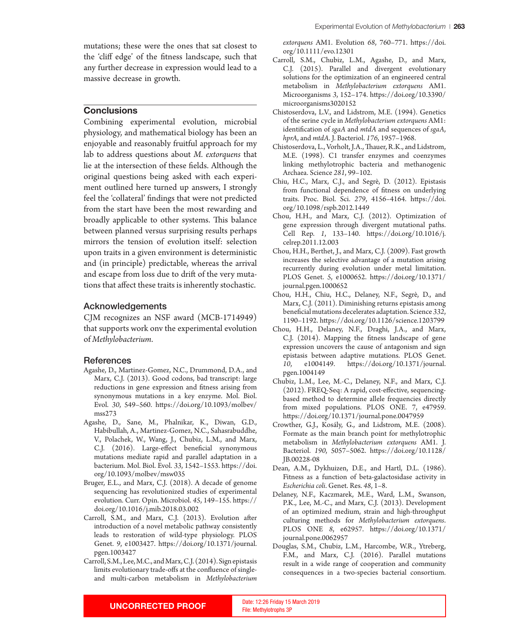mutations; these were the ones that sat closest to the 'clif edge' of the ftness landscape, such that any further decrease in expression would lead to a massive decrease in growth.

## **Conclusions**

Combining experimental evolution, microbial physiology, and mathematical biology has been an enjoyable and reasonably fruitful approach for my lab to address questions about *M. extorquens* that lie at the intersection of these felds. Although the original questions being asked with each experiment outlined here turned up answers, I strongly feel the 'collateral' fndings that were not predicted from the start have been the most rewarding and broadly applicable to other systems. This balance between planned versus surprising results perhaps mirrors the tension of evolution itself: selection upon traits in a given environment is deterministic and (in principle) predictable, whereas the arrival and escape from loss due to drift of the very mutations that afect these traits is inherently stochastic.

### Acknowledgements

CJM recognizes an NSF award (MCB-1714949) that supports work onv the experimental evolution of *Methylobacterium*.

#### References

- Agashe, D., Martinez-Gomez, N.C., Drummond, D.A., and Marx, C.J. (2013). Good codons, bad transcript: large reductions in gene expression and ftness arising from synonymous mutations in a key enzyme. Mol. Biol. Evol. *30*, 549–560. htps://doi.org/10.1093/molbev/ mss273
- Agashe, D., Sane, M., Phalnikar, K., Diwan, G.D., Habibullah, A., Martinez-Gomez, N.C., Sahasrabuddhe, V., Polachek, W., Wang, J., Chubiz, L.M., and Marx, C.J. (2016). Large-effect beneficial synonymous mutations mediate rapid and parallel adaptation in a bacterium. Mol. Biol. Evol. *33*, 1542–1553. htps://doi. org/10.1093/molbev/msw035
- Bruger, E.L., and Marx, C.J. (2018). A decade of genome sequencing has revolutionized studies of experimental evolution. Curr. Opin. Microbiol. *45*, 149–155. htps:// doi.org/10.1016/j.mib.2018.03.002
- Carroll, S.M., and Marx, C.J. (2013). Evolution afer introduction of a novel metabolic pathway consistently leads to restoration of wild-type physiology. PLOS Genet. *9*, e1003427. htps://doi.org/10.1371/journal. pgen.1003427
- Carroll, S.M., Lee, M.C., and Marx, C.J. (2014). Sign epistasis limits evolutionary trade-ofs at the confuence of singleand multi-carbon metabolism in *Methylobacterium*

*extorquens* AM1. Evolution *68*, 760–771. htps://doi. org/10.1111/evo.12301

- Carroll, S.M., Chubiz, L.M., Agashe, D., and Marx, C.J. (2015). Parallel and divergent evolutionary solutions for the optimization of an engineered central metabolism in *Methylobacterium extorquens* AM1. Microorganisms *3*, 152–174. htps://doi.org/10.3390/ microorganisms3020152
- Chistoserdova, L.V., and Lidstrom, M.E. (1994). Genetics of the serine cycle in *Methylobacterium extorquens* AM1: identifcation of *sgaA* and *mtdA* and sequences of *sgaA*, *hprA*, and *mtdA*. J. Bacteriol. *176*, 1957–1968.
- Chistoserdova, L., Vorholt, J.A., Tauer, R.K., and Lidstrom, M.E. (1998). C1 transfer enzymes and coenzymes linking methylotrophic bacteria and methanogenic Archaea. Science *281*, 99–102.
- Chiu, H.C., Marx, C.J., and Segrè, D. (2012). Epistasis from functional dependence of ftness on underlying traits. Proc. Biol. Sci. *279*, 4156–4164. htps://doi. org/10.1098/rspb.2012.1449
- Chou, H.H., and Marx, C.J. (2012). Optimization of gene expression through divergent mutational paths. Cell Rep. *1*, 133–140. htps://doi.org/10.1016/j. celrep.2011.12.003
- Chou, H.H., Berthet, J., and Marx, C.J. (2009). Fast growth increases the selective advantage of a mutation arising recurrently during evolution under metal limitation. PLOS Genet. *5*, e1000652. htps://doi.org/10.1371/ journal.pgen.1000652
- Chou, H.H., Chiu, H.C., Delaney, N.F., Segrè, D., and Marx, C.J. (2011). Diminishing returns epistasis among benefcial mutations decelerates adaptation. Science *332*, 1190–1192. htps://doi.org/10.1126/science.1203799
- Chou, H.H., Delaney, N.F., Draghi, J.A., and Marx, C.J. (2014). Mapping the ftness landscape of gene expression uncovers the cause of antagonism and sign epistasis between adaptive mutations. PLOS Genet. *10*, e1004149. htps://doi.org/10.1371/journal. pgen.1004149
- Chubiz, L.M., Lee, M.-C., Delaney, N.F., and Marx, C.J. (2012). FREQ-Seq: A rapid, cost-efective, sequencingbased method to determine allele frequencies directly from mixed populations. PLOS ONE. 7, e47959. htps://doi.org/10.1371/journal.pone.0047959
- Crowther, G.J., Kosály, G., and Lidstrom, M.E. (2008). Formate as the main branch point for methylotrophic metabolism in *Methylobacterium extorquens* AM1. J. Bacteriol. *190*, 5057–5062. htps://doi.org/10.1128/ JB.00228-08
- Dean, A.M., Dykhuizen, D.E., and Hartl, D.L. (1986). Fitness as a function of beta-galactosidase activity in *Escherichia coli*. Genet. Res. *48*, 1–8.
- Delaney, N.F., Kaczmarek, M.E., Ward, L.M., Swanson, P.K., Lee, M.-C., and Marx, C.J. (2013). Development of an optimized medium, strain and high-throughput culturing methods for *Methylobacterium extorquens*. PLOS ONE *8*, e62957. htps://doi.org/10.1371/ journal.pone.0062957
- Douglas, S.M., Chubiz, L.M., Harcombe, W.R., Ytreberg, F.M., and Marx, C.J. (2016). Parallel mutations result in a wide range of cooperation and community consequences in a two-species bacterial consortium.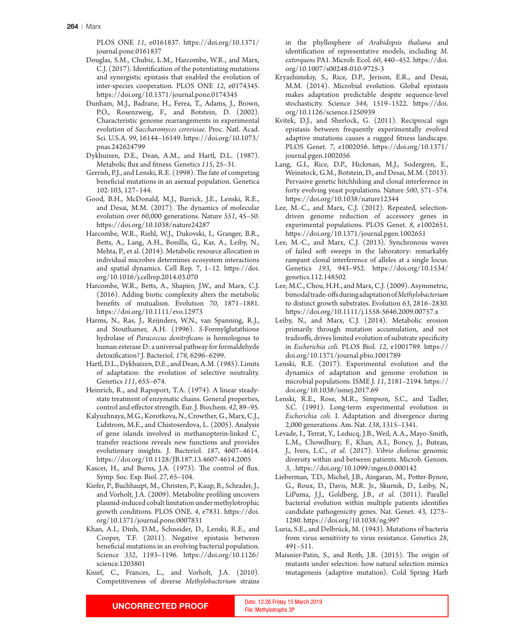PLOS ONE *11*, e0161837. htps://doi.org/10.1371/ journal.pone.0161837

- Douglas, S.M., Chubiz, L.M., Harcombe, W.R., and Marx, C.J. (2017). Identifcation of the potentiating mutations and synergistic epistasis that enabled the evolution of inter-species cooperation. PLOS ONE *12*, e0174345. htps://doi.org/10.1371/journal.pone.0174345
- Dunham, M.J., Badrane, H., Ferea, T., Adams, J., Brown, P.O., Rosenzweig, F., and Botstein, D. (2002). Characteristic genome rearrangements in experimental evolution of *Saccharomyces cerevisiae*. Proc. Natl. Acad. Sci. U.S.A. *99*, 16144–16149. htps://doi.org/10.1073/ pnas.242624799
- Dykhuizen, D.E., Dean, A.M., and Hartl, D.L. (1987). Metabolic fux and ftness. Genetics *115*, 25–31.
- Gerrish, P.J., and Lenski, R.E. (1998). The fate of competing benefcial mutations in an asexual population. Genetica 102-103, 127–144.
- Good, B.H., McDonald, M.J., Barrick, J.E., Lenski, R.E., and Desai, M.M. (2017). The dynamics of molecular evolution over 60,000 generations. Nature *551*, 45–50. htps://doi.org/10.1038/nature24287
- Harcombe, W.R., Riehl, W.J., Dukovski, I., Granger, B.R., Bets, A., Lang, A.H., Bonilla, G., Kar, A., Leiby, N., Mehta, P., et al. (2014). Metabolic resource allocation in individual microbes determines ecosystem interactions and spatial dynamics. Cell Rep. 7, 1–12. htps://doi. org/10.1016/j.cellrep.2014.03.070
- Harcombe, W.R., Bets, A., Shapiro, J.W., and Marx, C.J. (2016). Adding biotic complexity alters the metabolic benefts of mutualism. Evolution *70*, 1871–1881. htps://doi.org/10.1111/evo.12973
- Harms, N., Ras, J., Reijnders, W.N., van Spanning, R.J., and Stouthamer, A.H. (1996). *S*-Formylglutathione hydrolase of *Paracoccus denitrifcans* is homologous to human esterase D: a universal pathway for formaldehyde detoxifcation? J. Bacteriol. *178*, 6296–6299.
- Hartl, D.L., Dykhuizen, D.E., and Dean, A.M. (1985). Limits of adaptation: the evolution of selective neutrality. Genetics *111*, 655–674.
- Heinrich, R., and Rapoport, T.A. (1974). A linear steadystate treatment of enzymatic chains. General properties, control and efector strength. Eur. J. Biochem. *42*, 89–95.
- Kalyuzhnaya, M.G., Korotkova, N., Crowther, G., Marx, C.J., Lidstrom, M.E., and Chistoserdova, L. (2005). Analysis of gene islands involved in methanopterin-linked  $C_1$ transfer reactions reveals new functions and provides evolutionary insights. J. Bacteriol. *187*, 4607–4614. htps://doi.org/10.1128/JB.187.13.4607-4614.2005
- Kascer, H., and Burns, J.A. (1973). The control of flux. Symp. Soc. Exp. Biol. *27*, 65–104.
- Kiefer, P., Buchhaupt, M., Christen, P., Kaup, B., Schrader, J., and Vorholt, J.A. (2009). Metabolite profling uncovers plasmid-induced cobalt limitation under methylotrophic growth conditions. PLOS ONE. *4*, e7831. htps://doi. org/10.1371/journal.pone.0007831
- Khan, A.I., Dinh, D.M., Schneider, D., Lenski, R.E., and Cooper, T.F. (2011). Negative epistasis between benefcial mutations in an evolving bacterial population. Science *332*, 1193–1196. htps://doi.org/10.1126/ science.1203801
- Knief, C., Frances, L., and Vorholt, J.A. (2010). Competitiveness of diverse *Methylobacterium* strains

in the phyllosphere of *Arabidopsis thaliana* and identifcation of representative models, including *M*. *extorquens* PA1. Microb. Ecol. *60*, 440–452. htps://doi. org/10.1007/s00248-010-9725-3

- Kryazhimskiy, S., Rice, D.P., Jerison, E.R., and Desai, M.M. (2014). Microbial evolution. Global epistasis makes adaptation predictable despite sequence-level stochasticity. Science *344*, 1519–1522. htps://doi. org/10.1126/science.1250939
- Kvitek, D.J., and Sherlock, G. (2011). Reciprocal sign epistasis between frequently experimentally evolved adaptive mutations causes a rugged ftness landscape. PLOS Genet. *7*, e1002056. htps://doi.org/10.1371/ journal.pgen.1002056
- Lang, G.I., Rice, D.P., Hickman, M.J., Sodergren, E., Weinstock, G.M., Botstein, D., and Desai, M.M. (2013). Pervasive genetic hitchhiking and clonal interference in forty evolving yeast populations. Nature *500*, 571–574. htps://doi.org/10.1038/nature12344
- Lee, M.-C., and Marx, C.J. (2012). Repeated, selectiondriven genome reduction of accessory genes in experimental populations. PLOS Genet. *8*, e1002651. htps://doi.org/10.1371/journal.pgen.1002651
- Lee, M.-C., and Marx, C.J. (2013). Synchronous waves of failed soft sweeps in the laboratory: remarkably rampant clonal interference of alleles at a single locus. Genetics *193*, 943–952. htps://doi.org/10.1534/ genetics.112.148502
- Lee, M.C., Chou, H.H., and Marx, C.J. (2009). Asymmetric, bimodal trade-ofs during adaptation of *Methylobacterium* to distinct growth substrates. Evolution *63*, 2816–2830. htps://doi.org/10.1111/j.1558-5646.2009.00757.x
- Leiby, N., and Marx, C.J. (2014). Metabolic erosion primarily through mutation accumulation, and not tradeofs, drives limited evolution of substrate specifcity in *Escherichia coli*. PLOS Biol. *12*, e1001789. htps:// doi.org/10.1371/journal.pbio.1001789
- Lenski, R.E. (2017). Experimental evolution and the dynamics of adaptation and genome evolution in microbial populations. ISME J. *11*, 2181–2194. htps:// doi.org/10.1038/ismej.2017.69
- Lenski, R.E., Rose, M.R., Simpson, S.C., and Tadler, S.C. (1991). Long-term experimental evolution in *Escherichia coli*. I. Adaptation and divergence during 2,000 generations. Am. Nat. *138*, 1315–1341.
- Levade, I., Terrat, Y., Leducq, J.B., Weil, A.A., Mayo-Smith, L.M., Chowdhury, F., Khan, A.I., Boncy, J., Buteau, J., Ivers, L.C., *et al*. (2017). *Vibrio cholerae* genomic diversity within and between patients. Microb. Genom. *3*, . htps://doi.org/10.1099/mgen.0.000142
- Lieberman, T.D., Michel, J.B., Aingaran, M., Poter-Bynoe, G., Roux, D., Davis, M.R. Jr., Skurnik, D., Leiby, N., LiPuma, J.J., Goldberg, J.B., *et al*. (2011). Parallel bacterial evolution within multiple patients identifes candidate pathogenicity genes. Nat. Genet. *43*, 1275– 1280. htps://doi.org/10.1038/ng.997
- Luria, S.E., and Delbrück, M. (1943). Mutations of bacteria from virus sensitivity to virus resistance. Genetics *28*, 491–511.
- Maisnier-Patin, S., and Roth, J.R. (2015). The origin of mutants under selection: how natural selection mimics mutagenesis (adaptive mutation). Cold Spring Harb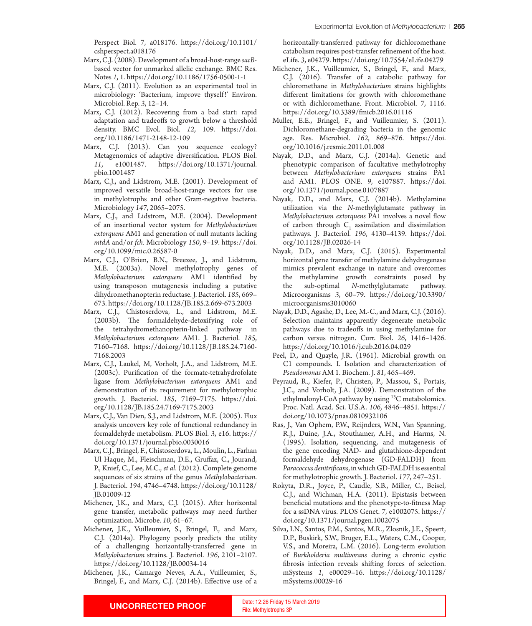Perspect Biol. 7, a018176. htps://doi.org/10.1101/ cshperspect.a018176

- Marx, C.J. (2008). Development of a broad-host-range *sacB*based vector for unmarked allelic exchange. BMC Res. Notes *1*, 1. htps://doi.org/10.1186/1756-0500-1-1
- Marx, C.J. (2011). Evolution as an experimental tool in microbiology: 'Bacterium, improve thyself!' Environ. Microbiol. Rep. *3*, 12–14.
- Marx, C.J. (2012). Recovering from a bad start: rapid adaptation and tradeofs to growth below a threshold density. BMC Evol. Biol. *12*, 109. htps://doi. org/10.1186/1471-2148-12-109
- Marx, C.J. (2013). Can you sequence ecology? Metagenomics of adaptive diversifcation. PLOS Biol. *11*, e1001487. htps://doi.org/10.1371/journal. pbio.1001487
- Marx, C.J., and Lidstrom, M.E. (2001). Development of improved versatile broad-host-range vectors for use in methylotrophs and other Gram-negative bacteria. Microbiology *147*, 2065–2075.
- Marx, C.J., and Lidstrom, M.E. (2004). Development of an insertional vector system for *Methylobacterium extorquens* AM1 and generation of null mutants lacking *mtdA* and/or *fch*. Microbiology *150*, 9–19. htps://doi. org/10.1099/mic.0.26587-0
- Marx, C.J., O'Brien, B.N., Breezee, J., and Lidstrom, M.E. (2003a). Novel methylotrophy genes of *Methylobacterium extorquens* AM1 identifed by using transposon mutagenesis including a putative dihydromethanopterin reductase. J. Bacteriol. *185*, 669– 673. htps://doi.org/10.1128/JB.185.2.669-673.2003
- Marx, C.J., Chistoserdova, L., and Lidstrom, M.E. (2003b). The formaldehyde-detoxifying role of the tetrahydromethanopterin-linked pathway in *Methylobacterium extorquens* AM1. J. Bacteriol. *185*, 7160–7168. htps://doi.org/10.1128/JB.185.24.7160- 7168.2003
- Marx, C.J., Laukel, M, Vorholt, J.A., and Lidstrom, M.E. (2003c). Purifcation of the formate-tetrahydrofolate ligase from *Methylobacterium extorquens* AM1 and demonstration of its requirement for methylotrophic growth. J. Bacteriol. *185*, 7169–7175. htps://doi. org/10.1128/JB.185.24.7169-7175.2003
- Marx, C.J., Van Dien, S.J., and Lidstrom, M.E. (2005). Flux analysis uncovers key role of functional redundancy in formaldehyde metabolism. PLOS Biol. *3*, e16. htps:// doi.org/10.1371/journal.pbio.0030016
- Marx, C.J., Bringel, F., Chistoserdova, L., Moulin, L., Farhan Ul Haque, M., Fleischman, D.E., Grufaz, C., Jourand, P., Knief, C., Lee, M.C., *et al*. (2012). Complete genome sequences of six strains of the genus *Methylobacterium*. J. Bacteriol. *194*, 4746–4748. htps://doi.org/10.1128/ JB.01009-12
- Michener, J.K., and Marx, C.J. (2015). Afer horizontal gene transfer, metabolic pathways may need further optimization. Microbe. *10*, 61–67.
- Michener, J.K., Vuilleumier, S., Bringel, F., and Marx, C.J. (2014a). Phylogeny poorly predicts the utility of a challenging horizontally-transferred gene in *Methylobacterium* strains. J. Bacteriol. *196*, 2101–2107. htps://doi.org/10.1128/JB.00034-14
- Michener, J.K., Camargo Neves, A.A., Vuilleumier, S., Bringel, F., and Marx, C.J. (2014b). Efective use of a

horizontally-transferred pathway for dichloromethane catabolism requires post-transfer refnement of the host. eLife. *3*, e04279. htps://doi.org/10.7554/eLife.04279

- Michener, J.K., Vuilleumier, S., Bringel, F., and Marx, C.J. (2016). Transfer of a catabolic pathway for chloromethane in *Methylobacterium* strains highlights diferent limitations for growth with chloromethane or with dichloromethane. Front. Microbiol. *7*, 1116. htps://doi.org/10.3389/fmicb.2016.01116
- Muller, E.E., Bringel, F., and Vuilleumier, S. (2011). Dichloromethane-degrading bacteria in the genomic age. Res. Microbiol. *162*, 869–876. htps://doi. org/10.1016/j.resmic.2011.01.008
- Nayak, D.D., and Marx, C.J. (2014a). Genetic and phenotypic comparison of facultative methylotrophy between *Methylobacterium extorquens* strains PA1 and AM1. PLOS ONE. *9*, e107887. htps://doi. org/10.1371/journal.pone.0107887
- Nayak, D.D., and Marx, C.J. (2014b). Methylamine utilization via the *N*-methylglutamate pathway in *Methylobacterium extorquens* PA1 involves a novel flow of carbon through  $C_1$  assimilation and dissimilation pathways. J. Bacteriol. *196*, 4130–4139. htps://doi. org/10.1128/JB.02026-14
- Nayak, D.D., and Marx, C.J. (2015). Experimental horizontal gene transfer of methylamine dehydrogenase mimics prevalent exchange in nature and overcomes the methylamine growth constraints posed by the sub-optimal *N*-methylglutamate pathway. Microorganisms *3*, 60–79. htps://doi.org/10.3390/ microorganisms3010060
- Nayak, D.D., Agashe, D., Lee, M.-C., and Marx, C.J. (2016). Selection maintains apparently degenerate metabolic pathways due to tradeofs in using methylamine for carbon versus nitrogen. Curr. Biol. *26*, 1416–1426. htps://doi.org/10.1016/j.cub.2016.04.029
- Peel, D., and Quayle, J.R. (1961). Microbial growth on C1 compounds. I. Isolation and characterization of *Pseudomonas* AM 1. Biochem. J. *81*, 465–469.
- Peyraud, R., Kiefer, P., Christen, P., Massou, S., Portais, J.C., and Vorholt, J.A. (2009). Demonstration of the ethylmalonyl-CoA pathway by using 13C metabolomics. Proc. Natl. Acad. Sci. U.S.A. *106*, 4846–4851. htps:// doi.org/10.1073/pnas.0810932106
- Ras, J., Van Ophem, P.W., Reijnders, W.N., Van Spanning, R.J., Duine, J.A., Stouthamer, A.H., and Harms, N. (1995). Isolation, sequencing, and mutagenesis of the gene encoding NAD- and glutathione-dependent formaldehyde dehydrogenase (GD-FALDH) from *Paracoccus denitrifcans*, in which GD-FALDH is essential for methylotrophic growth. J. Bacteriol. *177*, 247–251.
- Rokyta, D.R., Joyce, P., Caudle, S.B., Miller, C., Beisel, C.J., and Wichman, H.A. (2011). Epistasis between benefcial mutations and the phenotype-to-ftness Map for a ssDNA virus. PLOS Genet. *7*, e1002075. htps:// doi.org/10.1371/journal.pgen.1002075
- Silva, I.N., Santos, P.M., Santos, M.R., Zlosnik, J.E., Speert, D.P., Buskirk, S.W., Bruger, E.L., Waters, C.M., Cooper, V.S., and Moreira, L.M. (2016). Long-term evolution of *Burkholderia multivorans* during a chronic cystic fbrosis infection reveals shifing forces of selection. mSystems *1*, e00029–16. htps://doi.org/10.1128/ mSystems.00029-16